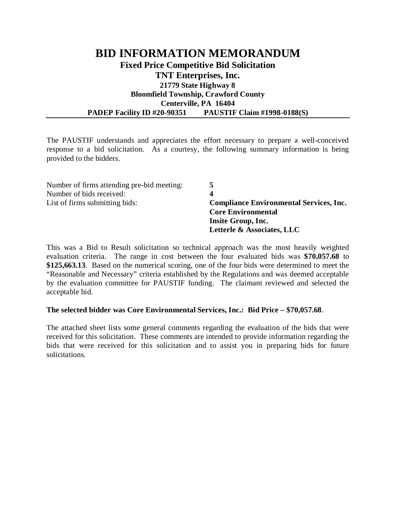## **BID INFORMATION MEMORANDUM Fixed Price Competitive Bid Solicitation TNT Enterprises, Inc. 21779 State Highway 8 Bloomfield Township, Crawford County Centerville, PA 16404 PADEP Facility ID #20-90351 PAUSTIF Claim #1998-0188(S)**

The PAUSTIF understands and appreciates the effort necessary to prepare a well-conceived response to a bid solicitation. As a courtesy, the following summary information is being provided to the bidders.

| <b>Compliance Environmental Services, Inc.</b>                                |  |
|-------------------------------------------------------------------------------|--|
| <b>Core Environmental</b><br>Insite Group, Inc.<br>Letterle & Associates, LLC |  |
|                                                                               |  |

This was a Bid to Result solicitation so technical approach was the most heavily weighted evaluation criteria. The range in cost between the four evaluated bids was **\$70,057.68** to **\$125,663.13**. Based on the numerical scoring, one of the four bids were determined to meet the "Reasonable and Necessary" criteria established by the Regulations and was deemed acceptable by the evaluation committee for PAUSTIF funding. The claimant reviewed and selected the acceptable bid.

## **The selected bidder was Core Environmental Services, Inc.: Bid Price – \$70,057.68**.

The attached sheet lists some general comments regarding the evaluation of the bids that were received for this solicitation. These comments are intended to provide information regarding the bids that were received for this solicitation and to assist you in preparing bids for future solicitations.